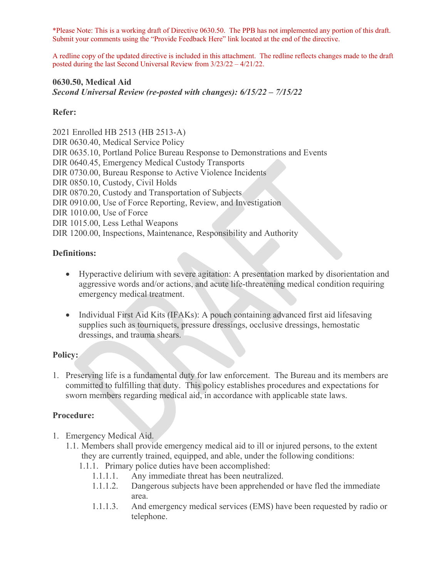\*Please Note: This is a working draft of Directive 0630.50. The PPB has not implemented any portion of this draft. Submit your comments using the "Provide Feedback Here" link located at the end of the directive.

A redline copy of the updated directive is included in this attachment. The redline reflects changes made to the draft posted during the last Second Universal Review from 3/23/22 – 4/21/22.

#### **0630.50, Medical Aid** *Second Universal Review (re-posted with changes): 6/15/22 – 7/15/22*

#### **Refer:**

2021 Enrolled HB 2513 (HB 2513-A) DIR 0630.40, Medical Service Policy DIR 0635.10, Portland Police Bureau Response to Demonstrations and Events DIR 0640.45, Emergency Medical Custody Transports DIR 0730.00, Bureau Response to Active Violence Incidents DIR 0850.10, Custody, Civil Holds DIR 0870.20, Custody and Transportation of Subjects DIR 0910.00, Use of Force Reporting, Review, and Investigation DIR 1010.00, Use of Force DIR 1015.00, Less Lethal Weapons DIR 1200.00, Inspections, Maintenance, Responsibility and Authority

#### **Definitions:**

- Hyperactive delirium with severe agitation: A presentation marked by disorientation and aggressive words and/or actions, and acute life-threatening medical condition requiring emergency medical treatment.
- Individual First Aid Kits (IFAKs): A pouch containing advanced first aid lifesaving supplies such as tourniquets, pressure dressings, occlusive dressings, hemostatic dressings, and trauma shears.

#### **Policy:**

1. Preserving life is a fundamental duty for law enforcement. The Bureau and its members are committed to fulfilling that duty. This policy establishes procedures and expectations for sworn members regarding medical aid, in accordance with applicable state laws.

#### **Procedure:**

- 1. Emergency Medical Aid.
	- 1.1. Members shall provide emergency medical aid to ill or injured persons, to the extent they are currently trained, equipped, and able, under the following conditions:
		- 1.1.1. Primary police duties have been accomplished:
			- 1.1.1.1. Any immediate threat has been neutralized.
			- 1.1.1.2. Dangerous subjects have been apprehended or have fled the immediate area.
			- 1.1.1.3. And emergency medical services (EMS) have been requested by radio or telephone.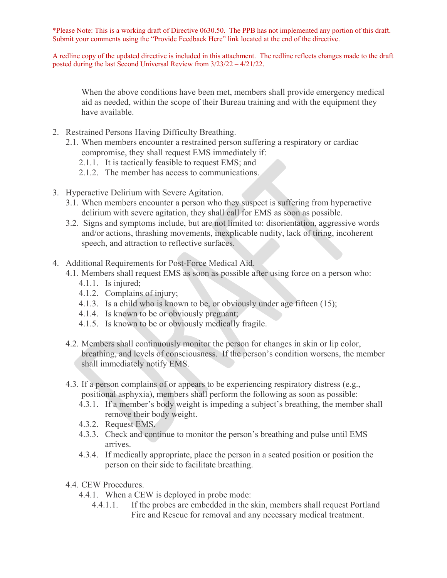\*Please Note: This is a working draft of Directive 0630.50. The PPB has not implemented any portion of this draft. Submit your comments using the "Provide Feedback Here" link located at the end of the directive.

A redline copy of the updated directive is included in this attachment. The redline reflects changes made to the draft posted during the last Second Universal Review from 3/23/22 – 4/21/22.

When the above conditions have been met, members shall provide emergency medical aid as needed, within the scope of their Bureau training and with the equipment they have available.

- 2. Restrained Persons Having Difficulty Breathing.
	- 2.1. When members encounter a restrained person suffering a respiratory or cardiac compromise, they shall request EMS immediately if:
		- 2.1.1. It is tactically feasible to request EMS; and
		- 2.1.2. The member has access to communications.
- 3. Hyperactive Delirium with Severe Agitation.
	- 3.1. When members encounter a person who they suspect is suffering from hyperactive delirium with severe agitation, they shall call for EMS as soon as possible.
	- 3.2. Signs and symptoms include, but are not limited to: disorientation, aggressive words and/or actions, thrashing movements, inexplicable nudity, lack of tiring, incoherent speech, and attraction to reflective surfaces.
- 4. Additional Requirements for Post-Force Medical Aid.
	- 4.1. Members shall request EMS as soon as possible after using force on a person who:
		- 4.1.1. Is injured;
		- 4.1.2. Complains of injury;
		- 4.1.3. Is a child who is known to be, or obviously under age fifteen (15);
		- 4.1.4. Is known to be or obviously pregnant;
		- 4.1.5. Is known to be or obviously medically fragile.
	- 4.2. Members shall continuously monitor the person for changes in skin or lip color, breathing, and levels of consciousness. If the person's condition worsens, the member shall immediately notify EMS.
	- 4.3. If a person complains of or appears to be experiencing respiratory distress (e.g., positional asphyxia), members shall perform the following as soon as possible:
		- 4.3.1. If a member's body weight is impeding a subject's breathing, the member shall remove their body weight.
		- 4.3.2. Request EMS.
		- 4.3.3. Check and continue to monitor the person's breathing and pulse until EMS arrives.
		- 4.3.4. If medically appropriate, place the person in a seated position or position the person on their side to facilitate breathing.
	- 4.4. CEW Procedures.
		- 4.4.1. When a CEW is deployed in probe mode:
			- 4.4.1.1. If the probes are embedded in the skin, members shall request Portland Fire and Rescue for removal and any necessary medical treatment.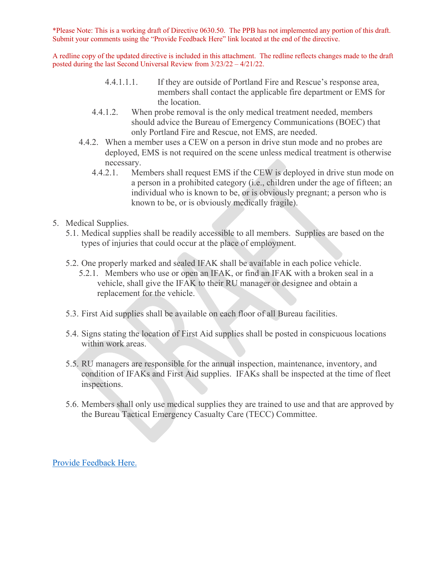\*Please Note: This is a working draft of Directive 0630.50. The PPB has not implemented any portion of this draft. Submit your comments using the "Provide Feedback Here" link located at the end of the directive.

A redline copy of the updated directive is included in this attachment. The redline reflects changes made to the draft posted during the last Second Universal Review from 3/23/22 – 4/21/22.

- 4.4.1.1.1. If they are outside of Portland Fire and Rescue's response area, members shall contact the applicable fire department or EMS for the location.
- 4.4.1.2. When probe removal is the only medical treatment needed, members should advice the Bureau of Emergency Communications (BOEC) that only Portland Fire and Rescue, not EMS, are needed.
- 4.4.2. When a member uses a CEW on a person in drive stun mode and no probes are deployed, EMS is not required on the scene unless medical treatment is otherwise necessary.
	- 4.4.2.1. Members shall request EMS if the CEW is deployed in drive stun mode on a person in a prohibited category (i.e., children under the age of fifteen; an individual who is known to be, or is obviously pregnant; a person who is known to be, or is obviously medically fragile).
- 5. Medical Supplies.
	- 5.1. Medical supplies shall be readily accessible to all members. Supplies are based on the types of injuries that could occur at the place of employment.
	- 5.2. One properly marked and sealed IFAK shall be available in each police vehicle.
		- 5.2.1. Members who use or open an IFAK, or find an IFAK with a broken seal in a vehicle, shall give the IFAK to their RU manager or designee and obtain a replacement for the vehicle.
	- 5.3. First Aid supplies shall be available on each floor of all Bureau facilities.
	- 5.4. Signs stating the location of First Aid supplies shall be posted in conspicuous locations within work areas.
	- 5.5. RU managers are responsible for the annual inspection, maintenance, inventory, and condition of IFAKs and First Aid supplies. IFAKs shall be inspected at the time of fleet inspections.
	- 5.6. Members shall only use medical supplies they are trained to use and that are approved by the Bureau Tactical Emergency Casualty Care (TECC) Committee.

[Provide Feedback Here.](https://www.surveymonkey.com/r/2MNR5VS)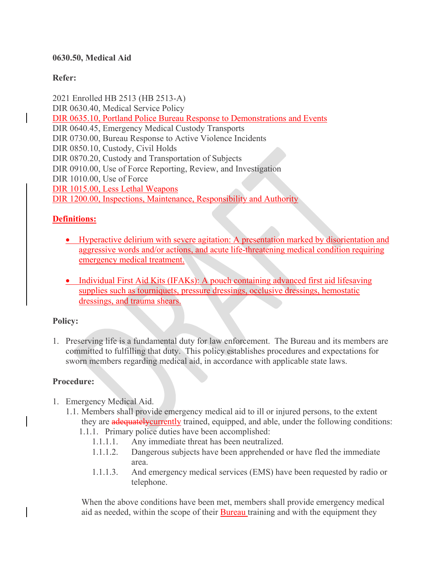#### **0630.50, Medical Aid**

## **Refer:**

2021 Enrolled HB 2513 (HB 2513-A) DIR 0630.40, Medical Service Policy DIR 0635.10, Portland Police Bureau Response to Demonstrations and Events DIR 0640.45, Emergency Medical Custody Transports DIR 0730.00, Bureau Response to Active Violence Incidents DIR 0850.10, Custody, Civil Holds DIR 0870.20, Custody and Transportation of Subjects DIR 0910.00, Use of Force Reporting, Review, and Investigation DIR 1010.00, Use of Force DIR 1015.00, Less Lethal Weapons DIR 1200.00, Inspections, Maintenance, Responsibility and Authority

### **Definitions:**

- Hyperactive delirium with severe agitation: A presentation marked by disorientation and aggressive words and/or actions, and acute life-threatening medical condition requiring emergency medical treatment.
- Individual First Aid Kits (IFAKs): A pouch containing advanced first aid lifesaving supplies such as tourniquets, pressure dressings, occlusive dressings, hemostatic dressings, and trauma shears.

#### **Policy:**

1. Preserving life is a fundamental duty for law enforcement. The Bureau and its members are committed to fulfilling that duty. This policy establishes procedures and expectations for sworn members regarding medical aid, in accordance with applicable state laws.

#### **Procedure:**

- 1. Emergency Medical Aid.
	- 1.1. Members shall provide emergency medical aid to ill or injured persons, to the extent they are **adequately currently** trained, equipped, and able, under the following conditions:
		- 1.1.1. Primary police duties have been accomplished:
			- 1.1.1.1. Any immediate threat has been neutralized.
			- 1.1.1.2. Dangerous subjects have been apprehended or have fled the immediate area.
			- 1.1.1.3. And emergency medical services (EMS) have been requested by radio or telephone.

When the above conditions have been met, members shall provide emergency medical aid as needed, within the scope of their Bureau training and with the equipment they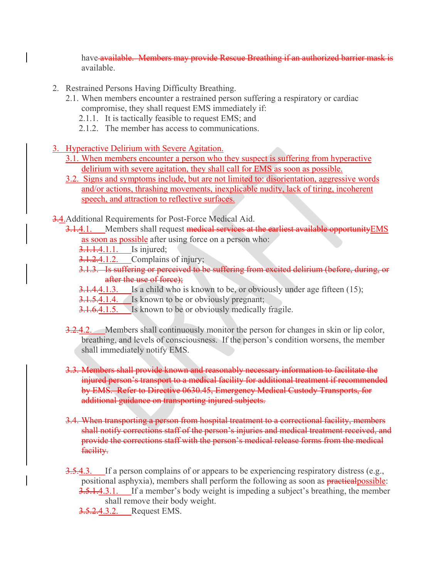have available. Members may provide Rescue Breathing if an authorized barrier mask is available.

- 2. Restrained Persons Having Difficulty Breathing.
	- 2.1. When members encounter a restrained person suffering a respiratory or cardiac compromise, they shall request EMS immediately if:
		- 2.1.1. It is tactically feasible to request EMS; and
		- 2.1.2. The member has access to communications.
- 3. Hyperactive Delirium with Severe Agitation.
	- 3.1. When members encounter a person who they suspect is suffering from hyperactive delirium with severe agitation, they shall call for EMS as soon as possible.
	- 3.2. Signs and symptoms include, but are not limited to: disorientation, aggressive words and/or actions, thrashing movements, inexplicable nudity, lack of tiring, incoherent speech, and attraction to reflective surfaces.

3.4.Additional Requirements for Post-Force Medical Aid.

- 3.1.4.1. Members shall request medical services at the earliest available opportunity EMS as soon as possible after using force on a person who:
	- **3.1.1.4.1.1.** Is injured;
	- **3.1.2.4.1.2.** Complains of injury;
	- 3.1.3. Is suffering or perceived to be suffering from excited delirium (before, during, or after the use of force);
	- 3.1.4.4.1.3. Is a child who is known to be, or obviously under age fifteen (15);
	- **3.1.5.4.1.4.** Is known to be or obviously pregnant;
	- **3.1.6.4.1.5.** Is known to be or obviously medically fragile.
- 3.2.4.2. Members shall continuously monitor the person for changes in skin or lip color, breathing, and levels of consciousness. If the person's condition worsens, the member shall immediately notify EMS.
- 3.3. Members shall provide known and reasonably necessary information to facilitate the injured person's transport to a medical facility for additional treatment if recommended by EMS. Refer to Directive 0630.45, Emergency Medical Custody Transports, for additional guidance on transporting injured subjects.
- 3.4. When transporting a person from hospital treatment to a correctional facility, members shall notify corrections staff of the person's injuries and medical treatment received, and provide the corrections staff with the person's medical release forms from the medical facility.
- 3.5.4.3. If a person complains of or appears to be experiencing respiratory distress (e.g., positional asphyxia), members shall perform the following as soon as **practical** possible: **3.5.1.4.3.1.** If a member's body weight is impeding a subject's breathing, the member

shall remove their body weight.

**3.5.2.4.3.2.** Request EMS.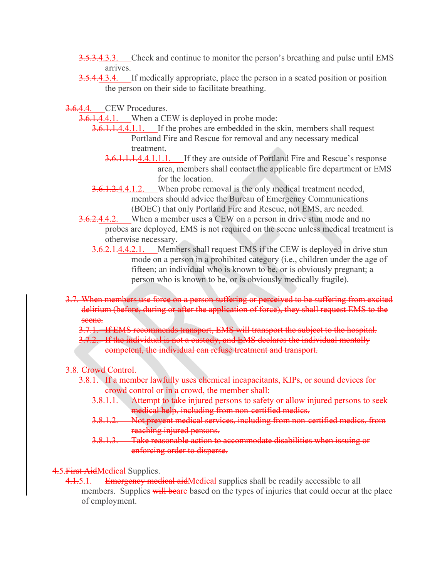- **3.5.3.4.3.3.** Check and continue to monitor the person's breathing and pulse until EMS arrives.
- 3.5.4.4.3.4. If medically appropriate, place the person in a seated position or position the person on their side to facilitate breathing.

3.6.4.4. CEW Procedures.

3.6.1.4.4.1. When a CEW is deployed in probe mode:

- 3.6.1.1.4.4.1.1. If the probes are embedded in the skin, members shall request Portland Fire and Rescue for removal and any necessary medical treatment.
	- 3.6.1.1.1.4.4.1.1.1. If they are outside of Portland Fire and Rescue's response area, members shall contact the applicable fire department or EMS for the location.
- 3.6.1.2.4.4.1.2. When probe removal is the only medical treatment needed, members should advice the Bureau of Emergency Communications (BOEC) that only Portland Fire and Rescue, not EMS, are needed.
- 3.6.2.4.4.2. When a member uses a CEW on a person in drive stun mode and no probes are deployed, EMS is not required on the scene unless medical treatment is otherwise necessary.
	- **3.6.2.1.4.4.2.1.** Members shall request EMS if the CEW is deployed in drive stun mode on a person in a prohibited category (i.e., children under the age of fifteen; an individual who is known to be, or is obviously pregnant; a person who is known to be, or is obviously medically fragile).
- 3.7. When members use force on a person suffering or perceived to be suffering from excited delirium (before, during or after the application of force), they shall request EMS to the seene.
	- 3.7.1. If EMS recommends transport, EMS will transport the subject to the hospital.
	- 3.7.2. If the individual is not a custody, and EMS declares the individual mentally competent, the individual can refuse treatment and transport.
- 3.8. Crowd Control.
	- 3.8.1. If a member lawfully uses chemical incapacitants, KIPs, or sound devices for crowd control or in a crowd, the member shall:
		- 3.8.1.1. Attempt to take injured persons to safety or allow injured persons to seek medical help, including from non-certified medics.
		- 3.8.1.2. Not prevent medical services, including from non-certified medics, from reaching injured persons.
		- 3.8.1.3. Take reasonable action to accommodate disabilities when issuing or enforcing order to disperse.

4.5. First AidMedical Supplies.

4.1.5.1. Emergency medical aidMedical supplies shall be readily accessible to all members. Supplies will beare based on the types of injuries that could occur at the place of employment.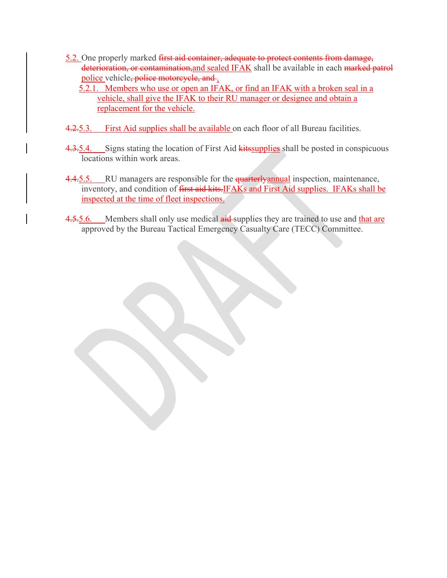- 5.2. One properly marked first aid container, adequate to protect contents from damage, deterioration, or contamination, and sealed IFAK shall be available in each marked patrol police vehicle, police motorcycle, and.
	- 5.2.1. Members who use or open an IFAK, or find an IFAK with a broken seal in a vehicle, shall give the IFAK to their RU manager or designee and obtain a replacement for the vehicle.
- 4.2.5.3. First Aid supplies shall be available on each floor of all Bureau facilities.
- 4.3.5.4. Signs stating the location of First Aid **kits** supplies shall be posted in conspicuous locations within work areas.
- 4.4.5.5. RU managers are responsible for the **quarterlyannual** inspection, maintenance, inventory, and condition of *first aid kits*.IFAKs and First Aid supplies. IFAKs shall be inspected at the time of fleet inspections.
- 4.5.5.6. Members shall only use medical aid supplies they are trained to use and that are approved by the Bureau Tactical Emergency Casualty Care (TECC) Committee.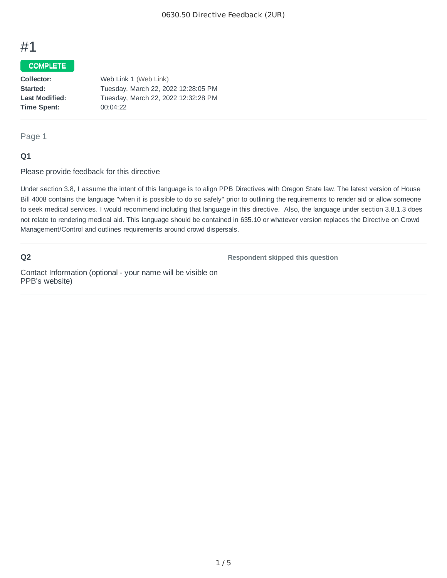# #1

## COMPLETE

| Collector:            | Web Link 1 (Web Link)               |
|-----------------------|-------------------------------------|
| Started:              | Tuesday, March 22, 2022 12:28:05 PM |
| <b>Last Modified:</b> | Tuesday, March 22, 2022 12:32:28 PM |
| Time Spent:           | 00:04:22                            |
|                       |                                     |

#### Page 1

#### **Q1**

Please provide feedback for this directive

Under section 3.8, I assume the intent of this language is to align PPB Directives with Oregon State law. The latest version of House Bill 4008 contains the language "when it is possible to do so safely" prior to outlining the requirements to render aid or allow someone to seek medical services. I would recommend including that language in this directive. Also, the language under section 3.8.1.3 does not relate to rendering medical aid. This language should be contained in 635.10 or whatever version replaces the Directive on Crowd Management/Control and outlines requirements around crowd dispersals.

#### **Q2**

**Respondent skipped this question**

Contact Information (optional - your name will be visible on PPB's website)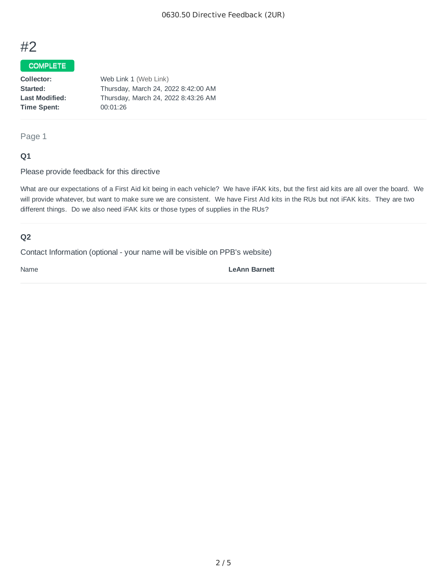# #2

#### COMPLETE

| Collector:            | Web Link 1 (Web Link)               |
|-----------------------|-------------------------------------|
| Started:              | Thursday, March 24, 2022 8:42:00 AM |
| <b>Last Modified:</b> | Thursday, March 24, 2022 8:43:26 AM |
| Time Spent:           | 00:01:26                            |
|                       |                                     |

Page 1

#### **Q1**

Please provide feedback for this directive

What are our expectations of a First Aid kit being in each vehicle? We have iFAK kits, but the first aid kits are all over the board. We will provide whatever, but want to make sure we are consistent. We have First AId kits in the RUs but not iFAK kits. They are two different things. Do we also need iFAK kits or those types of supplies in the RUs?

## **Q2**

Contact Information (optional - your name will be visible on PPB's website)

Name **LeAnn Barnett**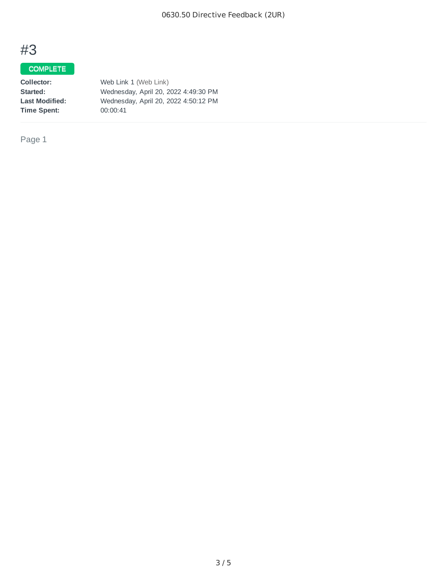# #3

# COMPLETE

| Collector:            | Web Link 1 (Web Link)                |
|-----------------------|--------------------------------------|
| Started:              | Wednesday, April 20, 2022 4:49:30 PM |
| <b>Last Modified:</b> | Wednesday, April 20, 2022 4:50:12 PM |
| Time Spent:           | 00:00:41                             |

Page 1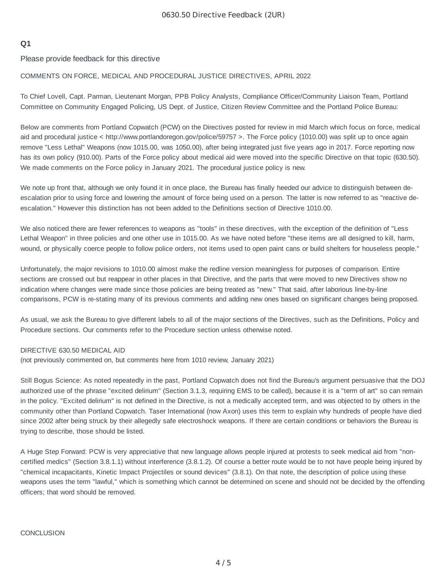#### **Q1**

Please provide feedback for this directive

#### COMMENTS ON FORCE, MEDICAL AND PROCEDURAL JUSTICE DIRECTIVES, APRIL 2022

To Chief Lovell, Capt. Parman, Lieutenant Morgan, PPB Policy Analysts, Compliance Officer/Community Liaison Team, Portland Committee on Community Engaged Policing, US Dept. of Justice, Citizen Review Committee and the Portland Police Bureau:

Below are comments from Portland Copwatch (PCW) on the Directives posted for review in mid March which focus on force, medical aid and procedural justice < http://www.portlandoregon.gov/police/59757 >. The Force policy (1010.00) was split up to once again remove "Less Lethal" Weapons (now 1015.00, was 1050.00), after being integrated just five years ago in 2017. Force reporting now has its own policy (910.00). Parts of the Force policy about medical aid were moved into the specific Directive on that topic (630.50). We made comments on the Force policy in January 2021. The procedural justice policy is new.

We note up front that, although we only found it in once place, the Bureau has finally heeded our advice to distinguish between deescalation prior to using force and lowering the amount of force being used on a person. The latter is now referred to as "reactive deescalation." However this distinction has not been added to the Definitions section of Directive 1010.00.

We also noticed there are fewer references to weapons as "tools" in these directives, with the exception of the definition of "Less Lethal Weapon" in three policies and one other use in 1015.00. As we have noted before "these items are all designed to kill, harm, wound, or physically coerce people to follow police orders, not items used to open paint cans or build shelters for houseless people."

Unfortunately, the major revisions to 1010.00 almost make the redline version meaningless for purposes of comparison. Entire sections are crossed out but reappear in other places in that Directive, and the parts that were moved to new Directives show no indication where changes were made since those policies are being treated as "new." That said, after laborious line-by-line comparisons, PCW is re-stating many of its previous comments and adding new ones based on significant changes being proposed.

As usual, we ask the Bureau to give different labels to all of the major sections of the Directives, such as the Definitions, Policy and Procedure sections. Our comments refer to the Procedure section unless otherwise noted.

#### DIRECTIVE 630.50 MEDICAL AID

(not previously commented on, but comments here from 1010 review, January 2021)

Still Bogus Science: As noted repeatedly in the past, Portland Copwatch does not find the Bureau's argument persuasive that the DOJ authorized use of the phrase "excited delirium" (Section 3.1.3, requiring EMS to be called), because it is a "term of art" so can remain in the policy. "Excited delirium" is not defined in the Directive, is not a medically accepted term, and was objected to by others in the community other than Portland Copwatch. Taser International (now Axon) uses this term to explain why hundreds of people have died since 2002 after being struck by their allegedly safe electroshock weapons. If there are certain conditions or behaviors the Bureau is trying to describe, those should be listed.

A Huge Step Forward: PCW is very appreciative that new language allows people injured at protests to seek medical aid from "noncertified medics" (Section 3.8.1.1) without interference (3.8.1.2). Of course a better route would be to not have people being injured by "chemical incapacitants, Kinetic Impact Projectiles or sound devices" (3.8.1). On that note, the description of police using these weapons uses the term "lawful," which is something which cannot be determined on scene and should not be decided by the offending officers; that word should be removed.